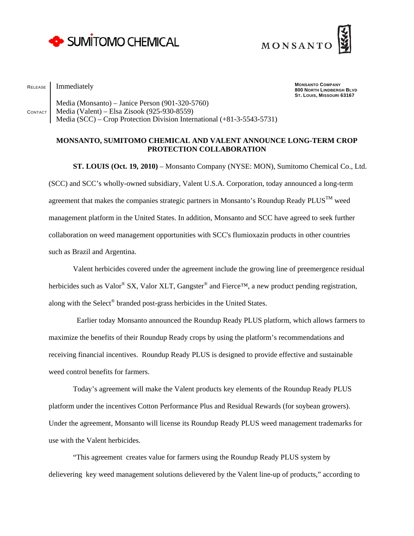



RELEASE Immediately

**MONSANTO COMPANY 800 NORTH LINDBERGH BLVD ST. LOUIS, MISSOURI 63167** 

CONTACT Media (Monsanto) – Janice Person (901-320-5760) Media (Valent) – Elsa Zisook (925-930-8559) Media (SCC) – Crop Protection Division International (+81-3-5543-5731)

## **MONSANTO, SUMITOMO CHEMICAL AND VALENT ANNOUNCE LONG-TERM CROP PROTECTION COLLABORATION**

**ST. LOUIS (Oct. 19, 2010)** – Monsanto Company (NYSE: MON), Sumitomo Chemical Co., Ltd. (SCC) and SCC's wholly-owned subsidiary, Valent U.S.A. Corporation, today announced a long-term agreement that makes the companies strategic partners in Monsanto's Roundup Ready PLUS<sup>TM</sup> weed management platform in the United States. In addition, Monsanto and SCC have agreed to seek further collaboration on weed management opportunities with SCC's flumioxazin products in other countries such as Brazil and Argentina.

Valent herbicides covered under the agreement include the growing line of preemergence residual herbicides such as Valor<sup>®</sup> SX, Valor XLT, Gangster<sup>®</sup> and Fierce<sup>™</sup>, a new product pending registration, along with the Select® branded post-grass herbicides in the United States.

 Earlier today Monsanto announced the Roundup Ready PLUS platform, which allows farmers to maximize the benefits of their Roundup Ready crops by using the platform's recommendations and receiving financial incentives. Roundup Ready PLUS is designed to provide effective and sustainable weed control benefits for farmers.

Today's agreement will make the Valent products key elements of the Roundup Ready PLUS platform under the incentives Cotton Performance Plus and Residual Rewards (for soybean growers). Under the agreement, Monsanto will license its Roundup Ready PLUS weed management trademarks for use with the Valent herbicides.

"This agreement creates value for farmers using the Roundup Ready PLUS system by delievering key weed management solutions delievered by the Valent line-up of products," according to